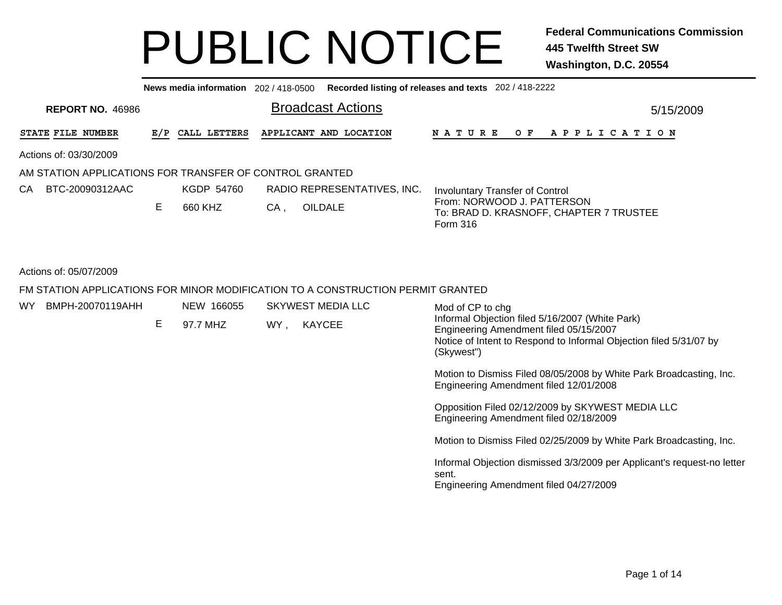|                                                         |     | News media information 202 / 418-0500 |                                                                                 | Recorded listing of releases and texts 202 / 418-2222                                                                                                                         |
|---------------------------------------------------------|-----|---------------------------------------|---------------------------------------------------------------------------------|-------------------------------------------------------------------------------------------------------------------------------------------------------------------------------|
| <b>REPORT NO. 46986</b>                                 |     |                                       | <b>Broadcast Actions</b>                                                        | 5/15/2009                                                                                                                                                                     |
| STATE FILE NUMBER                                       | E/P | CALL LETTERS                          | APPLICANT AND LOCATION                                                          | <b>NATURE</b><br>OF APPLICATION                                                                                                                                               |
| Actions of: 03/30/2009                                  |     |                                       |                                                                                 |                                                                                                                                                                               |
| AM STATION APPLICATIONS FOR TRANSFER OF CONTROL GRANTED |     |                                       |                                                                                 |                                                                                                                                                                               |
| BTC-20090312AAC<br>СA                                   |     | KGDP 54760                            | RADIO REPRESENTATIVES, INC.                                                     | <b>Involuntary Transfer of Control</b>                                                                                                                                        |
|                                                         | E   | 660 KHZ                               | <b>OILDALE</b><br>$CA$ ,                                                        | From: NORWOOD J. PATTERSON<br>To: BRAD D. KRASNOFF, CHAPTER 7 TRUSTEE<br>Form 316                                                                                             |
| Actions of: 05/07/2009                                  |     |                                       | FM STATION APPLICATIONS FOR MINOR MODIFICATION TO A CONSTRUCTION PERMIT GRANTED |                                                                                                                                                                               |
| BMPH-20070119AHH<br>WY.                                 |     | NEW 166055                            | <b>SKYWEST MEDIA LLC</b>                                                        | Mod of CP to chg                                                                                                                                                              |
|                                                         | Е   | 97.7 MHZ                              | <b>KAYCEE</b><br>WY.                                                            | Informal Objection filed 5/16/2007 (White Park)<br>Engineering Amendment filed 05/15/2007<br>Notice of Intent to Respond to Informal Objection filed 5/31/07 by<br>(Skywest") |
|                                                         |     |                                       |                                                                                 | Motion to Dismiss Filed 08/05/2008 by White Park Broadcasting, Inc.<br>Engineering Amendment filed 12/01/2008                                                                 |

Opposition Filed 02/12/2009 by SKYWEST MEDIA LLC Engineering Amendment filed 02/18/2009

Motion to Dismiss Filed 02/25/2009 by White Park Broadcasting, Inc.

Informal Objection dismissed 3/3/2009 per Applicant's request-no letter sent.

Engineering Amendment filed 04/27/2009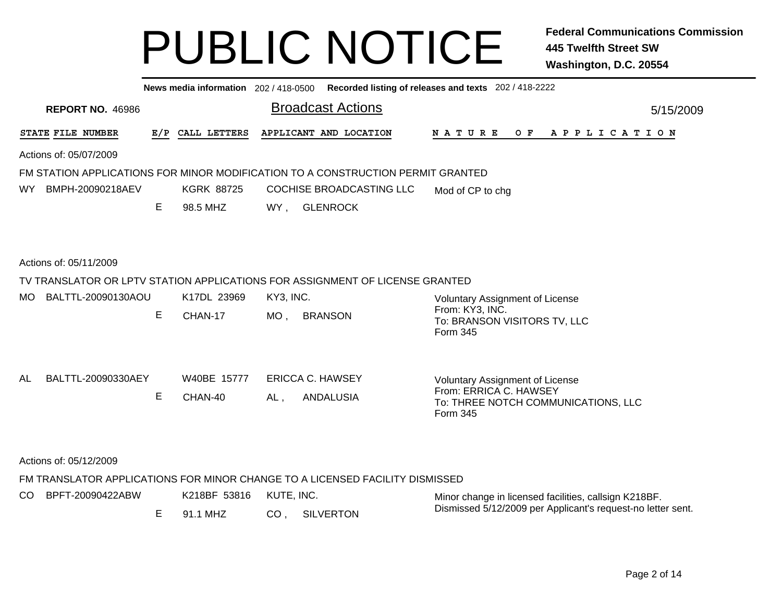|                           | News media information 202 / 418-0500 Recorded listing of releases and texts 202 / 418-2222 |                   |                                                                                 |                                                                  |  |  |  |  |  |  |  |  |
|---------------------------|---------------------------------------------------------------------------------------------|-------------------|---------------------------------------------------------------------------------|------------------------------------------------------------------|--|--|--|--|--|--|--|--|
| <b>REPORT NO. 46986</b>   |                                                                                             |                   | <b>Broadcast Actions</b>                                                        | 5/15/2009                                                        |  |  |  |  |  |  |  |  |
| STATE FILE NUMBER         | E/P                                                                                         | CALL LETTERS      | APPLICANT AND LOCATION                                                          | $O$ $F$<br>N A T U R E<br>A P P L I C A T I O N                  |  |  |  |  |  |  |  |  |
| Actions of: 05/07/2009    |                                                                                             |                   |                                                                                 |                                                                  |  |  |  |  |  |  |  |  |
|                           |                                                                                             |                   | FM STATION APPLICATIONS FOR MINOR MODIFICATION TO A CONSTRUCTION PERMIT GRANTED |                                                                  |  |  |  |  |  |  |  |  |
| BMPH-20090218AEV<br>WY.   |                                                                                             | <b>KGRK 88725</b> | COCHISE BROADCASTING LLC                                                        | Mod of CP to chg                                                 |  |  |  |  |  |  |  |  |
|                           | Е                                                                                           | 98.5 MHZ          | WY.<br><b>GLENROCK</b>                                                          |                                                                  |  |  |  |  |  |  |  |  |
|                           |                                                                                             |                   |                                                                                 |                                                                  |  |  |  |  |  |  |  |  |
| Actions of: 05/11/2009    |                                                                                             |                   |                                                                                 |                                                                  |  |  |  |  |  |  |  |  |
|                           |                                                                                             |                   | TV TRANSLATOR OR LPTV STATION APPLICATIONS FOR ASSIGNMENT OF LICENSE GRANTED    |                                                                  |  |  |  |  |  |  |  |  |
| BALTTL-20090130AOU<br>MO. |                                                                                             | K17DL 23969       | KY3, INC.                                                                       | <b>Voluntary Assignment of License</b>                           |  |  |  |  |  |  |  |  |
|                           | E                                                                                           | CHAN-17           | $MO$ ,<br><b>BRANSON</b>                                                        | From: KY3, INC.<br>To: BRANSON VISITORS TV, LLC<br>Form 345      |  |  |  |  |  |  |  |  |
| BALTTL-20090330AEY<br>AL  |                                                                                             | W40BE 15777       | <b>ERICCA C. HAWSEY</b>                                                         |                                                                  |  |  |  |  |  |  |  |  |
|                           |                                                                                             |                   |                                                                                 | <b>Voluntary Assignment of License</b><br>From: ERRICA C. HAWSEY |  |  |  |  |  |  |  |  |
|                           | Е                                                                                           | CHAN-40           | <b>ANDALUSIA</b><br>AL,                                                         | To: THREE NOTCH COMMUNICATIONS, LLC<br>Form 345                  |  |  |  |  |  |  |  |  |
|                           |                                                                                             |                   |                                                                                 |                                                                  |  |  |  |  |  |  |  |  |
| Actions of: 05/12/2009    |                                                                                             |                   |                                                                                 |                                                                  |  |  |  |  |  |  |  |  |
|                           |                                                                                             |                   | FM TRANSLATOR APPLICATIONS FOR MINOR CHANGE TO A LICENSED FACILITY DISMISSED    |                                                                  |  |  |  |  |  |  |  |  |
| BPFT-20090422ABW<br>CO.   |                                                                                             | K218BF 53816      | KUTE, INC.                                                                      | Minor change in licensed facilities, callsign K218BF.            |  |  |  |  |  |  |  |  |
|                           | Е                                                                                           | 91.1 MHZ          | <b>SILVERTON</b><br>CO,                                                         | Dismissed 5/12/2009 per Applicant's request-no letter sent.      |  |  |  |  |  |  |  |  |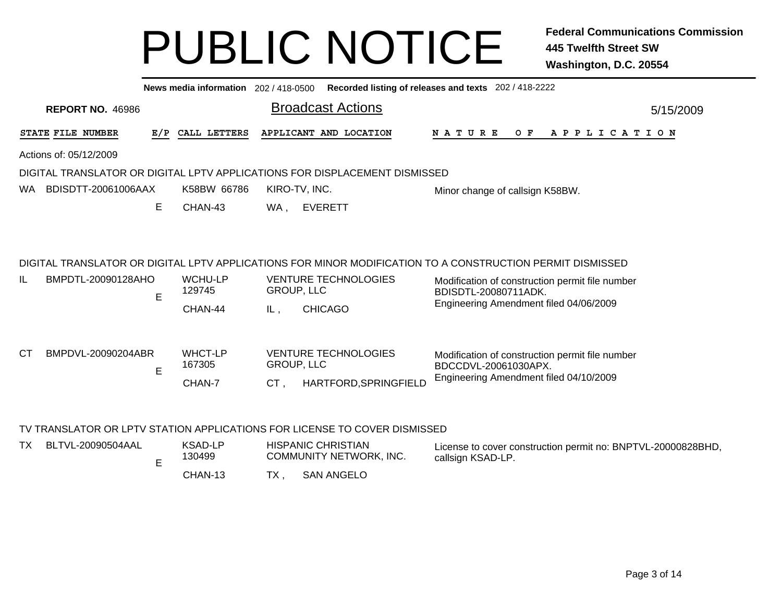|    |                         |     | News media information 202 / 418-0500 |                          |                                                                            | Recorded listing of releases and texts 202 / 418-2222                                                                                                                                                                          |           |
|----|-------------------------|-----|---------------------------------------|--------------------------|----------------------------------------------------------------------------|--------------------------------------------------------------------------------------------------------------------------------------------------------------------------------------------------------------------------------|-----------|
|    | <b>REPORT NO. 46986</b> |     |                                       |                          | <b>Broadcast Actions</b>                                                   |                                                                                                                                                                                                                                | 5/15/2009 |
|    | STATE FILE NUMBER       | E/P | CALL LETTERS                          |                          | APPLICANT AND LOCATION                                                     | <b>NATURE</b><br>O F<br>A P P L I C A T I O N                                                                                                                                                                                  |           |
|    | Actions of: 05/12/2009  |     |                                       |                          |                                                                            |                                                                                                                                                                                                                                |           |
|    |                         |     |                                       |                          | DIGITAL TRANSLATOR OR DIGITAL LPTV APPLICATIONS FOR DISPLACEMENT DISMISSED |                                                                                                                                                                                                                                |           |
| WA | BDISDTT-20061006AAX     |     | K58BW 66786                           |                          | KIRO-TV, INC.                                                              | Minor change of callsign K58BW.                                                                                                                                                                                                |           |
|    |                         | Е   | CHAN-43                               | WA,                      | <b>EVERETT</b>                                                             |                                                                                                                                                                                                                                |           |
| IL | BMPDTL-20090128AHO      | E   | <b>WCHU-LP</b><br>129745<br>CHAN-44   | <b>GROUP, LLC</b><br>IL, | <b>VENTURE TECHNOLOGIES</b><br><b>CHICAGO</b>                              | DIGITAL TRANSLATOR OR DIGITAL LPTV APPLICATIONS FOR MINOR MODIFICATION TO A CONSTRUCTION PERMIT DISMISSED<br>Modification of construction permit file number<br>BDISDTL-20080711ADK.<br>Engineering Amendment filed 04/06/2009 |           |
| СT | BMPDVL-20090204ABR      | E   | <b>WHCT-LP</b><br>167305<br>CHAN-7    | GROUP, LLC<br>CT.        | <b>VENTURE TECHNOLOGIES</b><br>HARTFORD, SPRINGFIELD                       | Modification of construction permit file number<br>BDCCDVL-20061030APX.<br>Engineering Amendment filed 04/10/2009                                                                                                              |           |
|    |                         |     |                                       |                          | TV TRANSLATOR OR LPTV STATION APPLICATIONS FOR LICENSE TO COVER DISMISSED  |                                                                                                                                                                                                                                |           |
| TX | BLTVL-20090504AAL       | E   | KSAD-LP<br>130499                     |                          | <b>HISPANIC CHRISTIAN</b><br>COMMUNITY NETWORK, INC.                       | License to cover construction permit no: BNPTVL-20000828BHD,<br>callsign KSAD-LP.                                                                                                                                              |           |
|    |                         |     | CHAN-13                               | TX ,                     | <b>SAN ANGELO</b>                                                          |                                                                                                                                                                                                                                |           |

3 TX , SAN ANGELO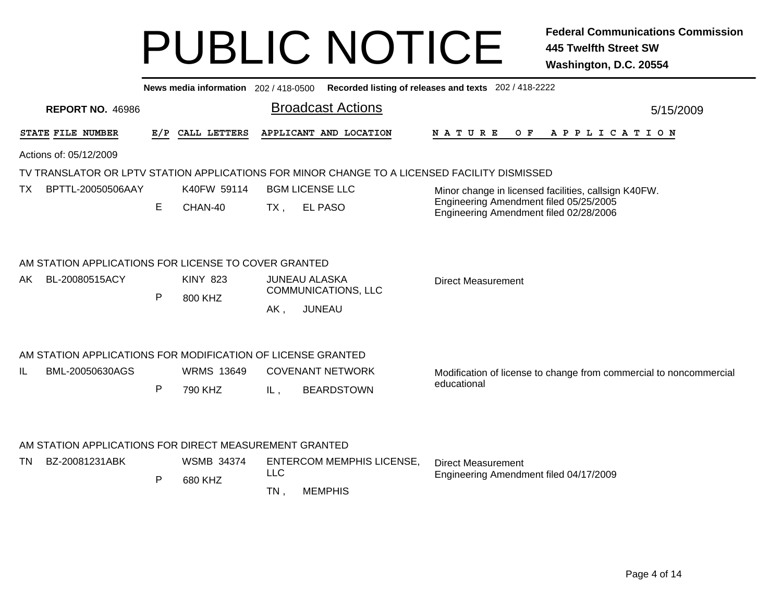|     |                                                                                              |              | News media information 202 / 418-0500 |                      |                                                              | Recorded listing of releases and texts 202 / 418-2222                             |  |  |  |  |  |  |
|-----|----------------------------------------------------------------------------------------------|--------------|---------------------------------------|----------------------|--------------------------------------------------------------|-----------------------------------------------------------------------------------|--|--|--|--|--|--|
|     | <b>REPORT NO. 46986</b>                                                                      |              |                                       |                      | <b>Broadcast Actions</b>                                     | 5/15/2009                                                                         |  |  |  |  |  |  |
|     | STATE FILE NUMBER                                                                            | E/P          | CALL LETTERS                          |                      | APPLICANT AND LOCATION                                       | <b>NATURE</b><br>O F<br>A P P L I C A T I O N                                     |  |  |  |  |  |  |
|     | Actions of: 05/12/2009                                                                       |              |                                       |                      |                                                              |                                                                                   |  |  |  |  |  |  |
|     | TV TRANSLATOR OR LPTV STATION APPLICATIONS FOR MINOR CHANGE TO A LICENSED FACILITY DISMISSED |              |                                       |                      |                                                              |                                                                                   |  |  |  |  |  |  |
| TX. | BPTTL-20050506AAY                                                                            |              | K40FW 59114                           |                      | <b>BGM LICENSE LLC</b>                                       | Minor change in licensed facilities, callsign K40FW.                              |  |  |  |  |  |  |
|     |                                                                                              | Е            | CHAN-40                               | TX ,                 | <b>EL PASO</b>                                               | Engineering Amendment filed 05/25/2005<br>Engineering Amendment filed 02/28/2006  |  |  |  |  |  |  |
| AK. | AM STATION APPLICATIONS FOR LICENSE TO COVER GRANTED<br>BL-20080515ACY                       | $\mathsf{P}$ | <b>KINY 823</b><br>800 KHZ            | AK,                  | <b>JUNEAU ALASKA</b><br>COMMUNICATIONS, LLC<br><b>JUNEAU</b> | <b>Direct Measurement</b>                                                         |  |  |  |  |  |  |
| IL  | AM STATION APPLICATIONS FOR MODIFICATION OF LICENSE GRANTED<br>BML-20050630AGS               | P            | <b>WRMS 13649</b><br>790 KHZ          | IL,                  | <b>COVENANT NETWORK</b><br><b>BEARDSTOWN</b>                 | Modification of license to change from commercial to noncommercial<br>educational |  |  |  |  |  |  |
| TN. | AM STATION APPLICATIONS FOR DIRECT MEASUREMENT GRANTED<br>BZ-20081231ABK                     | P            | <b>WSMB 34374</b><br>680 KHZ          | <b>LLC</b><br>$TN$ , | <b>ENTERCOM MEMPHIS LICENSE,</b><br><b>MEMPHIS</b>           | <b>Direct Measurement</b><br>Engineering Amendment filed 04/17/2009               |  |  |  |  |  |  |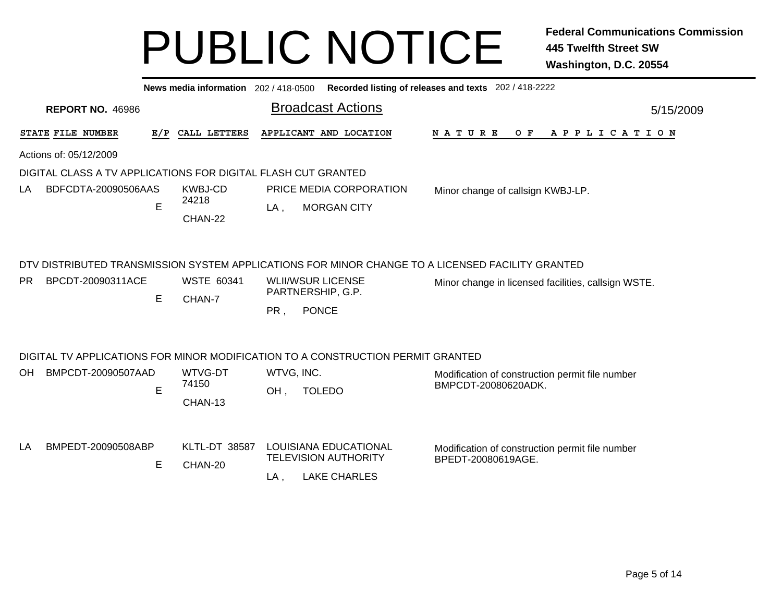|     |                                                               |     | News media information 202/418-0500                                                           |                   | Recorded listing of releases and texts 202 / 418-2222                                                                                                             |  |                                                                        |  |  |  |  |     |             |  |  |  |  |           |
|-----|---------------------------------------------------------------|-----|-----------------------------------------------------------------------------------------------|-------------------|-------------------------------------------------------------------------------------------------------------------------------------------------------------------|--|------------------------------------------------------------------------|--|--|--|--|-----|-------------|--|--|--|--|-----------|
|     | <b>REPORT NO. 46986</b>                                       |     |                                                                                               |                   | <b>Broadcast Actions</b>                                                                                                                                          |  |                                                                        |  |  |  |  |     |             |  |  |  |  | 5/15/2009 |
|     | STATE FILE NUMBER                                             | E/P | CALL LETTERS                                                                                  |                   | APPLICANT AND LOCATION                                                                                                                                            |  | N A T U R E                                                            |  |  |  |  | O F | APPLICATION |  |  |  |  |           |
|     | Actions of: 05/12/2009                                        |     |                                                                                               |                   |                                                                                                                                                                   |  |                                                                        |  |  |  |  |     |             |  |  |  |  |           |
|     | DIGITAL CLASS A TV APPLICATIONS FOR DIGITAL FLASH CUT GRANTED |     |                                                                                               |                   |                                                                                                                                                                   |  |                                                                        |  |  |  |  |     |             |  |  |  |  |           |
| LA  | BDFCDTA-20090506AAS                                           | E   | <b>KWBJ-CD</b><br>PRICE MEDIA CORPORATION<br>24218<br><b>MORGAN CITY</b><br>$LA$ ,<br>CHAN-22 |                   |                                                                                                                                                                   |  | Minor change of callsign KWBJ-LP.                                      |  |  |  |  |     |             |  |  |  |  |           |
| PR. | BPCDT-20090311ACE                                             | E   | <b>WSTE 60341</b><br>CHAN-7                                                                   | PR,               | DTV DISTRIBUTED TRANSMISSION SYSTEM APPLICATIONS FOR MINOR CHANGE TO A LICENSED FACILITY GRANTED<br><b>WLII/WSUR LICENSE</b><br>PARTNERSHIP, G.P.<br><b>PONCE</b> |  | Minor change in licensed facilities, callsign WSTE.                    |  |  |  |  |     |             |  |  |  |  |           |
|     |                                                               |     |                                                                                               |                   | DIGITAL TV APPLICATIONS FOR MINOR MODIFICATION TO A CONSTRUCTION PERMIT GRANTED                                                                                   |  |                                                                        |  |  |  |  |     |             |  |  |  |  |           |
| OH. | BMPCDT-20090507AAD                                            | E   | WTVG-DT<br>74150<br>CHAN-13                                                                   | WTVG, INC.<br>OH, | <b>TOLEDO</b>                                                                                                                                                     |  | Modification of construction permit file number<br>BMPCDT-20080620ADK. |  |  |  |  |     |             |  |  |  |  |           |
| LA  | BMPEDT-20090508ABP                                            | Е   | <b>KLTL-DT 38587</b><br>CHAN-20                                                               | $LA$ ,            | LOUISIANA EDUCATIONAL<br><b>TELEVISION AUTHORITY</b><br><b>LAKE CHARLES</b>                                                                                       |  | Modification of construction permit file number<br>BPEDT-20080619AGE.  |  |  |  |  |     |             |  |  |  |  |           |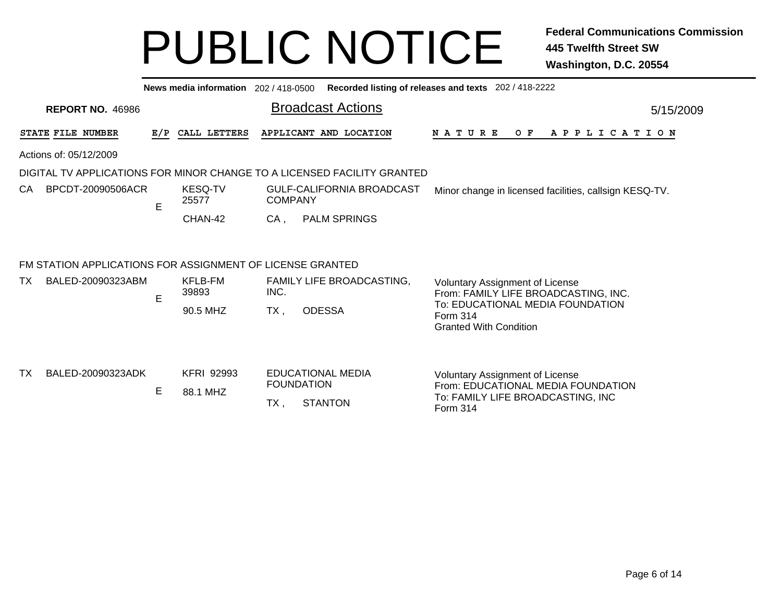|     |                                                           |     | News media information 202/418-0500 |                |                                                                         | Recorded listing of releases and texts 202 / 418-2222                               |           |
|-----|-----------------------------------------------------------|-----|-------------------------------------|----------------|-------------------------------------------------------------------------|-------------------------------------------------------------------------------------|-----------|
|     | <b>REPORT NO. 46986</b>                                   |     |                                     |                | <b>Broadcast Actions</b>                                                |                                                                                     | 5/15/2009 |
|     | <b>STATE FILE NUMBER</b>                                  | E/P | CALL LETTERS                        |                | APPLICANT AND LOCATION                                                  | <b>NATURE</b><br>O F<br>A P P L I C A T I O N                                       |           |
|     | Actions of: 05/12/2009                                    |     |                                     |                |                                                                         |                                                                                     |           |
|     |                                                           |     |                                     |                | DIGITAL TV APPLICATIONS FOR MINOR CHANGE TO A LICENSED FACILITY GRANTED |                                                                                     |           |
| CA. | BPCDT-20090506ACR                                         | E   | <b>KESQ-TV</b><br>25577             | <b>COMPANY</b> | <b>GULF-CALIFORNIA BROADCAST</b>                                        | Minor change in licensed facilities, callsign KESQ-TV.                              |           |
|     |                                                           |     | CHAN-42                             | CA.            | <b>PALM SPRINGS</b>                                                     |                                                                                     |           |
|     | FM STATION APPLICATIONS FOR ASSIGNMENT OF LICENSE GRANTED |     |                                     |                |                                                                         |                                                                                     |           |
| TX. | BALED-20090323ABM                                         | E   | KFLB-FM<br>39893                    | INC.           | FAMILY LIFE BROADCASTING,                                               | <b>Voluntary Assignment of License</b><br>From: FAMILY LIFE BROADCASTING, INC.      |           |
|     |                                                           |     | 90.5 MHZ                            | $TX$ ,         | <b>ODESSA</b>                                                           | To: EDUCATIONAL MEDIA FOUNDATION<br>Form 314<br><b>Granted With Condition</b>       |           |
| ТX  | BALED-20090323ADK                                         |     | <b>KFRI 92993</b>                   |                | <b>EDUCATIONAL MEDIA</b>                                                | Voluntary Assignment of License                                                     |           |
|     |                                                           | Е   | 88.1 MHZ                            | $TX$ ,         | <b>FOUNDATION</b><br><b>STANTON</b>                                     | From: EDUCATIONAL MEDIA FOUNDATION<br>To: FAMILY LIFE BROADCASTING, INC<br>Form 314 |           |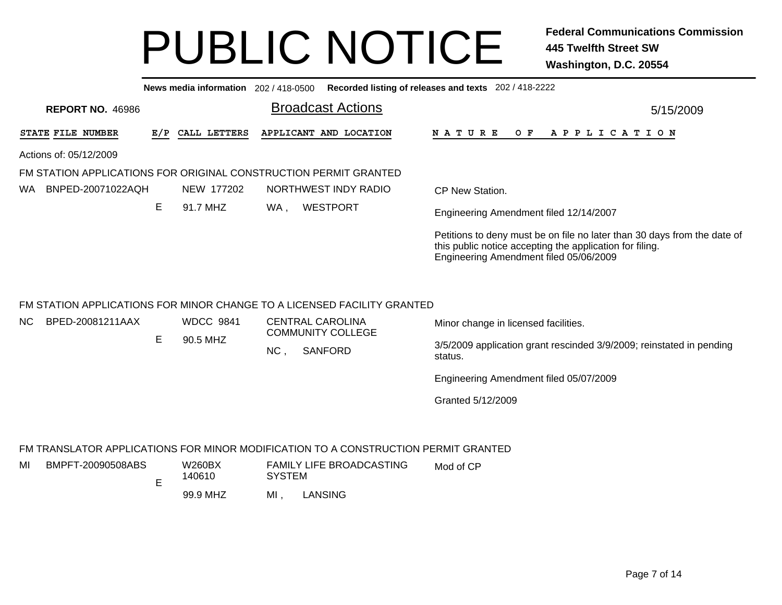| Recorded listing of releases and texts 202 / 418-2222                                                                                                                          |
|--------------------------------------------------------------------------------------------------------------------------------------------------------------------------------|
| 5/15/2009                                                                                                                                                                      |
| N A T U R E<br>O F<br>A P P L I C A T I O N                                                                                                                                    |
|                                                                                                                                                                                |
|                                                                                                                                                                                |
| CP New Station.                                                                                                                                                                |
| Engineering Amendment filed 12/14/2007                                                                                                                                         |
| Petitions to deny must be on file no later than 30 days from the date of<br>this public notice accepting the application for filing.<br>Engineering Amendment filed 05/06/2009 |
| Minor change in licensed facilities.<br>3/5/2009 application grant rescinded 3/9/2009; reinstated in pending<br>Engineering Amendment filed 05/07/2009                         |
| Granted 5/12/2009<br>FM TRANSLATOR APPLICATIONS FOR MINOR MODIFICATION TO A CONSTRUCTION PERMIT GRANTED                                                                        |
|                                                                                                                                                                                |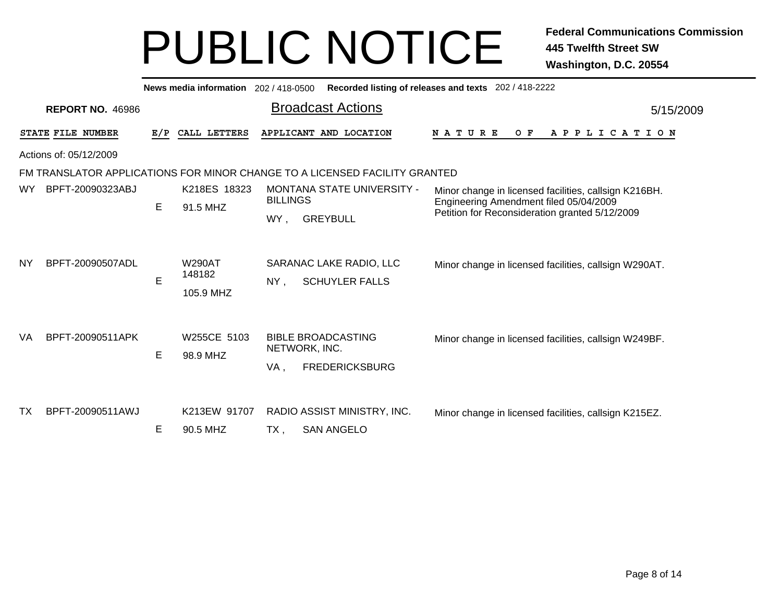|           |                         |     | News media information 202/418-0500  |                 |                                                                            | Recorded listing of releases and texts 202 / 418-2222                                           |           |  |  |  |  |  |  |
|-----------|-------------------------|-----|--------------------------------------|-----------------|----------------------------------------------------------------------------|-------------------------------------------------------------------------------------------------|-----------|--|--|--|--|--|--|
|           | <b>REPORT NO. 46986</b> |     |                                      |                 | <b>Broadcast Actions</b>                                                   |                                                                                                 | 5/15/2009 |  |  |  |  |  |  |
|           | STATE FILE NUMBER       | E/P | CALL LETTERS                         |                 | APPLICANT AND LOCATION                                                     | <b>NATURE</b><br>A P P L I C A T I O N<br>O F                                                   |           |  |  |  |  |  |  |
|           | Actions of: 05/12/2009  |     |                                      |                 |                                                                            |                                                                                                 |           |  |  |  |  |  |  |
|           |                         |     |                                      |                 | FM TRANSLATOR APPLICATIONS FOR MINOR CHANGE TO A LICENSED FACILITY GRANTED |                                                                                                 |           |  |  |  |  |  |  |
| <b>WY</b> | BPFT-20090323ABJ        | E   | K218ES 18323<br>91.5 MHZ             | <b>BILLINGS</b> | <b>MONTANA STATE UNIVERSITY -</b>                                          | Minor change in licensed facilities, callsign K216BH.<br>Engineering Amendment filed 05/04/2009 |           |  |  |  |  |  |  |
|           |                         |     |                                      | WY.             | <b>GREYBULL</b>                                                            | Petition for Reconsideration granted 5/12/2009                                                  |           |  |  |  |  |  |  |
| <b>NY</b> | BPFT-20090507ADL        | E   | <b>W290AT</b><br>148182<br>105.9 MHZ | NY,             | SARANAC LAKE RADIO, LLC<br><b>SCHUYLER FALLS</b>                           | Minor change in licensed facilities, callsign W290AT.                                           |           |  |  |  |  |  |  |
| VA        | BPFT-20090511APK        | E   | W255CE 5103<br>98.9 MHZ              | VA,             | <b>BIBLE BROADCASTING</b><br>NETWORK, INC.<br><b>FREDERICKSBURG</b>        | Minor change in licensed facilities, callsign W249BF.                                           |           |  |  |  |  |  |  |
| <b>TX</b> | BPFT-20090511AWJ        | Е   | K213EW 91707<br>90.5 MHZ             | TX,             | RADIO ASSIST MINISTRY, INC.<br><b>SAN ANGELO</b>                           | Minor change in licensed facilities, callsign K215EZ.                                           |           |  |  |  |  |  |  |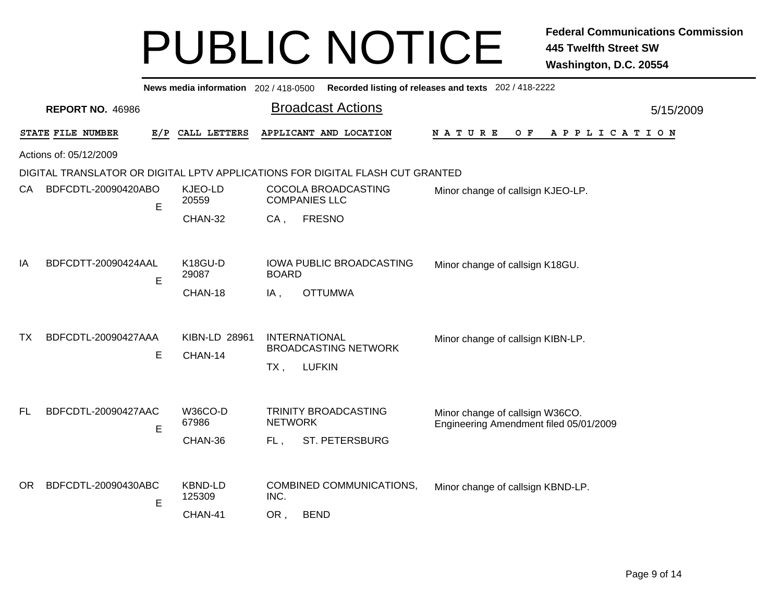|           |                         |     |                                     |                       | News media information 202/418-0500 Recorded listing of releases and texts 202/418-2222 |                                                                           |           |  |  |  |  |  |  |
|-----------|-------------------------|-----|-------------------------------------|-----------------------|-----------------------------------------------------------------------------------------|---------------------------------------------------------------------------|-----------|--|--|--|--|--|--|
|           | <b>REPORT NO. 46986</b> |     |                                     |                       | <b>Broadcast Actions</b>                                                                |                                                                           | 5/15/2009 |  |  |  |  |  |  |
|           | STATE FILE NUMBER       | E/P | CALL LETTERS                        |                       | APPLICANT AND LOCATION                                                                  | NATURE<br>O F<br>A P P L I C A T I O N                                    |           |  |  |  |  |  |  |
|           | Actions of: 05/12/2009  |     |                                     |                       |                                                                                         |                                                                           |           |  |  |  |  |  |  |
|           |                         |     |                                     |                       | DIGITAL TRANSLATOR OR DIGITAL LPTV APPLICATIONS FOR DIGITAL FLASH CUT GRANTED           |                                                                           |           |  |  |  |  |  |  |
| CA        | BDFCDTL-20090420ABO     | Е   | KJEO-LD<br>20559                    |                       | COCOLA BROADCASTING<br><b>COMPANIES LLC</b>                                             | Minor change of callsign KJEO-LP.                                         |           |  |  |  |  |  |  |
|           |                         |     | CHAN-32                             | CA,                   | <b>FRESNO</b>                                                                           |                                                                           |           |  |  |  |  |  |  |
|           |                         |     |                                     |                       |                                                                                         |                                                                           |           |  |  |  |  |  |  |
| ΙA        | BDFCDTT-20090424AAL     | E   | K18GU-D<br>29087                    | <b>BOARD</b>          | IOWA PUBLIC BROADCASTING                                                                | Minor change of callsign K18GU.                                           |           |  |  |  |  |  |  |
|           |                         |     | CHAN-18                             | $IA$ ,                | <b>OTTUMWA</b>                                                                          |                                                                           |           |  |  |  |  |  |  |
| TX.       | BDFCDTL-20090427AAA     | Е   | KIBN-LD 28961<br>CHAN-14            | TX,                   | <b>INTERNATIONAL</b><br><b>BROADCASTING NETWORK</b><br><b>LUFKIN</b>                    | Minor change of callsign KIBN-LP.                                         |           |  |  |  |  |  |  |
| <b>FL</b> | BDFCDTL-20090427AAC     | E   | <b>W36CO-D</b><br>67986<br>CHAN-36  | <b>NETWORK</b><br>FL, | TRINITY BROADCASTING<br><b>ST. PETERSBURG</b>                                           | Minor change of callsign W36CO.<br>Engineering Amendment filed 05/01/2009 |           |  |  |  |  |  |  |
| OR.       | BDFCDTL-20090430ABC     | E   | <b>KBND-LD</b><br>125309<br>CHAN-41 | INC.<br>OR,           | <b>COMBINED COMMUNICATIONS,</b><br><b>BEND</b>                                          | Minor change of callsign KBND-LP.                                         |           |  |  |  |  |  |  |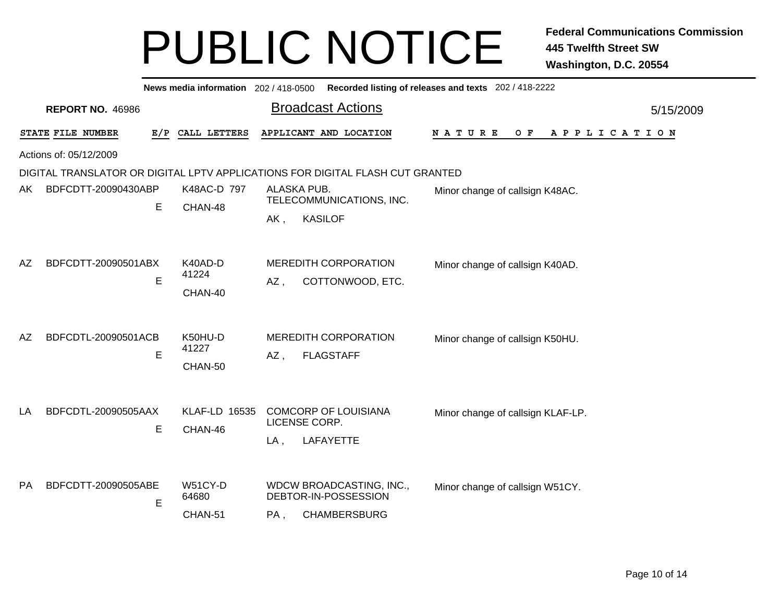|           |                          |                      | News media information 202 / 418-0500 Recorded listing of releases and texts 202 / 418-2222 |                                             |           |
|-----------|--------------------------|----------------------|---------------------------------------------------------------------------------------------|---------------------------------------------|-----------|
|           | <b>REPORT NO. 46986</b>  |                      | <b>Broadcast Actions</b>                                                                    |                                             | 5/15/2009 |
|           | STATE FILE NUMBER<br>E/P | CALL LETTERS         | APPLICANT AND LOCATION                                                                      | O F<br>N A T U R E<br>A P P L I C A T I O N |           |
|           | Actions of: 05/12/2009   |                      |                                                                                             |                                             |           |
|           |                          |                      | DIGITAL TRANSLATOR OR DIGITAL LPTV APPLICATIONS FOR DIGITAL FLASH CUT GRANTED               |                                             |           |
| AK        | BDFCDTT-20090430ABP      | K48AC-D 797          | ALASKA PUB.                                                                                 | Minor change of callsign K48AC.             |           |
|           | Е                        | CHAN-48              | TELECOMMUNICATIONS, INC.                                                                    |                                             |           |
|           |                          |                      | <b>KASILOF</b><br>AK,                                                                       |                                             |           |
|           |                          |                      |                                                                                             |                                             |           |
| AZ        | BDFCDTT-20090501ABX      | K40AD-D              | <b>MEREDITH CORPORATION</b>                                                                 | Minor change of callsign K40AD.             |           |
|           | E                        | 41224                |                                                                                             |                                             |           |
|           |                          | CHAN-40              | COTTONWOOD, ETC.<br>AZ,                                                                     |                                             |           |
|           |                          |                      |                                                                                             |                                             |           |
|           |                          |                      |                                                                                             |                                             |           |
| AZ        | BDFCDTL-20090501ACB      | K50HU-D<br>41227     | <b>MEREDITH CORPORATION</b>                                                                 | Minor change of callsign K50HU.             |           |
|           | E                        | CHAN-50              | AZ,<br><b>FLAGSTAFF</b>                                                                     |                                             |           |
|           |                          |                      |                                                                                             |                                             |           |
|           |                          |                      |                                                                                             |                                             |           |
| LA        | BDFCDTL-20090505AAX      | <b>KLAF-LD 16535</b> | <b>COMCORP OF LOUISIANA</b>                                                                 | Minor change of callsign KLAF-LP.           |           |
|           | E                        | CHAN-46              | LICENSE CORP.                                                                               |                                             |           |
|           |                          |                      | LAFAYETTE<br>$LA$ ,                                                                         |                                             |           |
|           |                          |                      |                                                                                             |                                             |           |
| <b>PA</b> | BDFCDTT-20090505ABE      | W51CY-D              | WDCW BROADCASTING, INC.,                                                                    | Minor change of callsign W51CY.             |           |
|           | E                        | 64680                | DEBTOR-IN-POSSESSION                                                                        |                                             |           |
|           |                          | CHAN-51              | <b>CHAMBERSBURG</b><br>PA,                                                                  |                                             |           |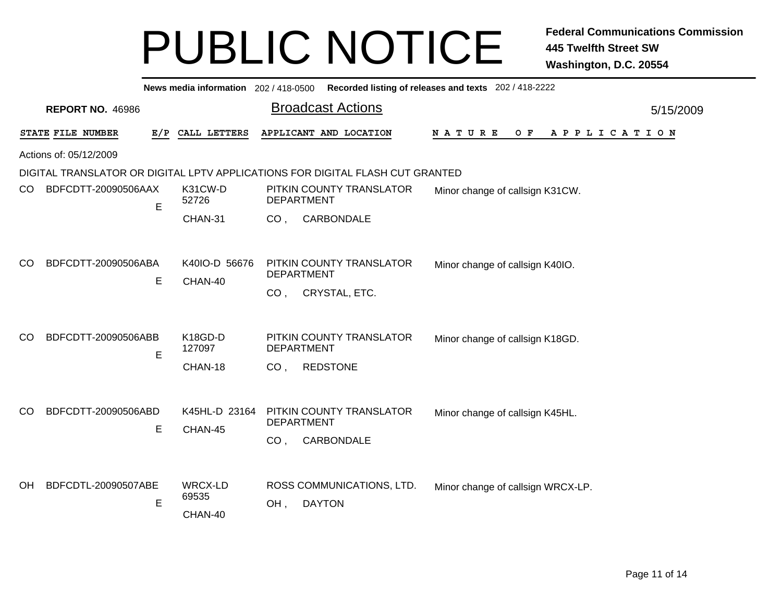|     |                          |                     | News media information 202 / 418-0500 Recorded listing of releases and texts 202 / 418-2222 |           |
|-----|--------------------------|---------------------|---------------------------------------------------------------------------------------------|-----------|
|     | <b>REPORT NO. 46986</b>  |                     | <b>Broadcast Actions</b>                                                                    | 5/15/2009 |
|     | STATE FILE NUMBER        | CALL LETTERS<br>E/P | APPLICANT AND LOCATION<br>NATURE<br>O F<br>A P P L I C A T I O N                            |           |
|     | Actions of: 05/12/2009   |                     |                                                                                             |           |
|     |                          |                     | DIGITAL TRANSLATOR OR DIGITAL LPTV APPLICATIONS FOR DIGITAL FLASH CUT GRANTED               |           |
| CO. | BDFCDTT-20090506AAX<br>E | K31CW-D<br>52726    | PITKIN COUNTY TRANSLATOR<br>Minor change of callsign K31CW.<br><b>DEPARTMENT</b>            |           |
|     |                          | CHAN-31             | CARBONDALE<br>CO <sub>1</sub>                                                               |           |
|     |                          |                     |                                                                                             |           |
| CO  | BDFCDTT-20090506ABA      | K40IO-D 56676       | PITKIN COUNTY TRANSLATOR<br>Minor change of callsign K40IO.<br><b>DEPARTMENT</b>            |           |
|     | Е                        | CHAN-40             | CRYSTAL, ETC.<br>CO <sub>1</sub>                                                            |           |
|     |                          |                     |                                                                                             |           |
| CO  | BDFCDTT-20090506ABB<br>E | K18GD-D<br>127097   | PITKIN COUNTY TRANSLATOR<br>Minor change of callsign K18GD.<br><b>DEPARTMENT</b>            |           |
|     |                          | CHAN-18             | <b>REDSTONE</b><br>CO <sub>1</sub>                                                          |           |
|     |                          |                     |                                                                                             |           |
| CO. | BDFCDTT-20090506ABD      | K45HL-D 23164       | PITKIN COUNTY TRANSLATOR<br>Minor change of callsign K45HL.<br><b>DEPARTMENT</b>            |           |
|     | E                        | CHAN-45             | CARBONDALE<br>CO <sub>1</sub>                                                               |           |
|     |                          |                     |                                                                                             |           |
| OН  | BDFCDTL-20090507ABE      | WRCX-LD             | ROSS COMMUNICATIONS, LTD.<br>Minor change of callsign WRCX-LP.                              |           |
|     | E                        | 69535               | OH,<br><b>DAYTON</b>                                                                        |           |
|     |                          | CHAN-40             |                                                                                             |           |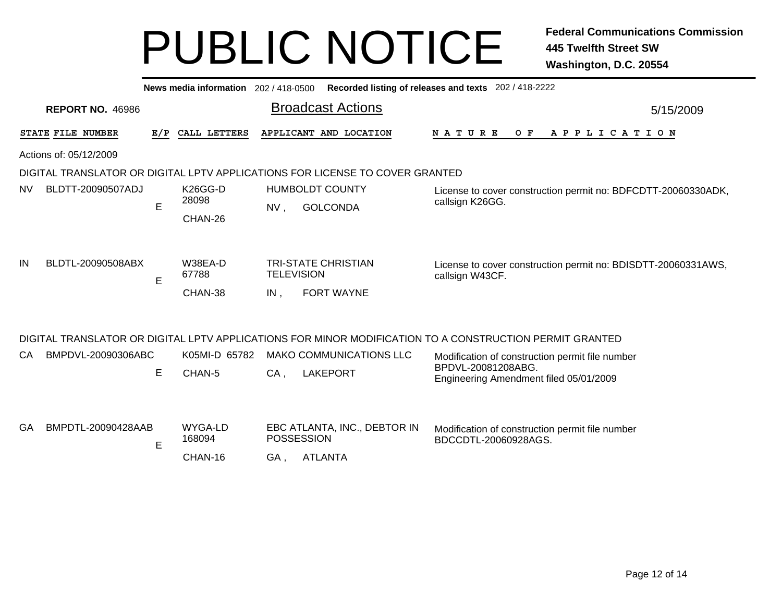|           | News media information 202 / 418-0500<br>Recorded listing of releases and texts 202 / 418-2222 |             |                              |                          |                                                   |                                                                                                                 |           |  |  |  |  |  |  |
|-----------|------------------------------------------------------------------------------------------------|-------------|------------------------------|--------------------------|---------------------------------------------------|-----------------------------------------------------------------------------------------------------------------|-----------|--|--|--|--|--|--|
|           | <b>REPORT NO. 46986</b>                                                                        |             |                              |                          | <b>Broadcast Actions</b>                          |                                                                                                                 | 5/15/2009 |  |  |  |  |  |  |
|           | STATE FILE NUMBER                                                                              | E/P         | CALL LETTERS                 |                          | APPLICANT AND LOCATION                            | <b>NATURE</b><br>O F<br>A P P L I C A T I O N                                                                   |           |  |  |  |  |  |  |
|           | Actions of: 05/12/2009                                                                         |             |                              |                          |                                                   |                                                                                                                 |           |  |  |  |  |  |  |
|           | DIGITAL TRANSLATOR OR DIGITAL LPTV APPLICATIONS FOR LICENSE TO COVER GRANTED                   |             |                              |                          |                                                   |                                                                                                                 |           |  |  |  |  |  |  |
| <b>NV</b> | BLDTT-20090507ADJ                                                                              | E           | K26GG-D<br>28098<br>CHAN-26  | NV,                      | <b>HUMBOLDT COUNTY</b><br><b>GOLCONDA</b>         | License to cover construction permit no: BDFCDTT-20060330ADK,<br>callsign K26GG.                                |           |  |  |  |  |  |  |
| IN        | BLDTL-20090508ABX                                                                              | $\mathsf E$ | W38EA-D<br>67788<br>CHAN-38  | <b>TELEVISION</b><br>IN, | <b>TRI-STATE CHRISTIAN</b><br>FORT WAYNE          | License to cover construction permit no: BDISDTT-20060331AWS,<br>callsign W43CF.                                |           |  |  |  |  |  |  |
|           |                                                                                                |             |                              |                          |                                                   | DIGITAL TRANSLATOR OR DIGITAL LPTV APPLICATIONS FOR MINOR MODIFICATION TO A CONSTRUCTION PERMIT GRANTED         |           |  |  |  |  |  |  |
| CA        | BMPDVL-20090306ABC                                                                             | Е           | K05MI-D 65782<br>CHAN-5      | $CA$ ,                   | <b>MAKO COMMUNICATIONS LLC</b><br><b>LAKEPORT</b> | Modification of construction permit file number<br>BPDVL-20081208ABG.<br>Engineering Amendment filed 05/01/2009 |           |  |  |  |  |  |  |
| GA        | BMPDTL-20090428AAB                                                                             | Е           | WYGA-LD<br>168094<br>CHAN-16 | <b>POSSESSION</b><br>GA, | EBC ATLANTA, INC., DEBTOR IN<br><b>ATLANTA</b>    | Modification of construction permit file number<br>BDCCDTL-20060928AGS.                                         |           |  |  |  |  |  |  |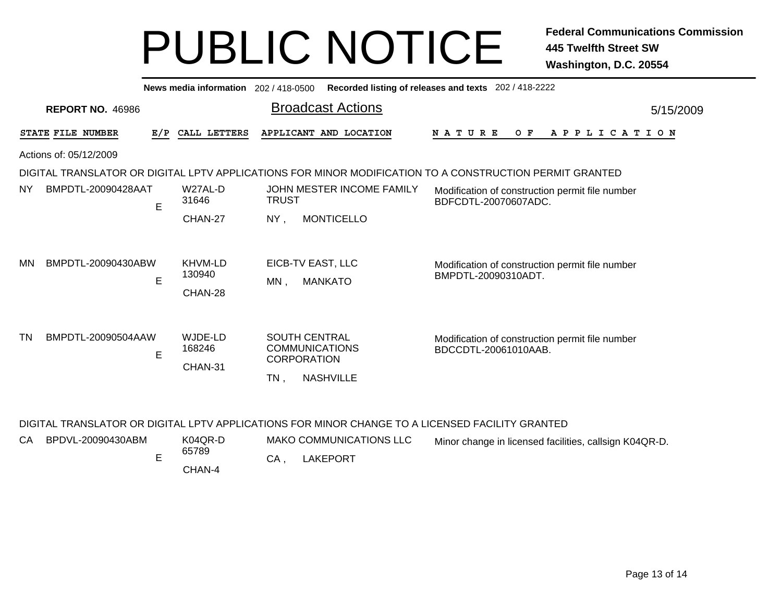|                                                                                                         | Recorded listing of releases and texts 202 / 418-2222<br>News media information 202/418-0500 |     |                              |              |                                                                                         |                                                                         |  |  |  |  |
|---------------------------------------------------------------------------------------------------------|----------------------------------------------------------------------------------------------|-----|------------------------------|--------------|-----------------------------------------------------------------------------------------|-------------------------------------------------------------------------|--|--|--|--|
| <b>REPORT NO. 46986</b>                                                                                 |                                                                                              |     |                              |              | <b>Broadcast Actions</b>                                                                | 5/15/2009                                                               |  |  |  |  |
|                                                                                                         | STATE FILE NUMBER                                                                            | E/P | CALL LETTERS                 |              | APPLICANT AND LOCATION                                                                  | <b>NATURE</b><br>O F<br>A P P L I C A T I O N                           |  |  |  |  |
| Actions of: 05/12/2009                                                                                  |                                                                                              |     |                              |              |                                                                                         |                                                                         |  |  |  |  |
| DIGITAL TRANSLATOR OR DIGITAL LPTV APPLICATIONS FOR MINOR MODIFICATION TO A CONSTRUCTION PERMIT GRANTED |                                                                                              |     |                              |              |                                                                                         |                                                                         |  |  |  |  |
| NY.                                                                                                     | BMPDTL-20090428AAT                                                                           | E   | W27AL-D<br>31646             | <b>TRUST</b> | JOHN MESTER INCOME FAMILY                                                               | Modification of construction permit file number<br>BDFCDTL-20070607ADC. |  |  |  |  |
|                                                                                                         |                                                                                              |     | CHAN-27                      | $NY$ ,       | <b>MONTICELLO</b>                                                                       |                                                                         |  |  |  |  |
| MN                                                                                                      | BMPDTL-20090430ABW                                                                           | E   | KHVM-LD<br>130940<br>CHAN-28 | MN,          | EICB-TV EAST, LLC<br><b>MANKATO</b>                                                     | Modification of construction permit file number<br>BMPDTL-20090310ADT.  |  |  |  |  |
| <b>TN</b>                                                                                               | BMPDTL-20090504AAW                                                                           | E   | WJDE-LD<br>168246<br>CHAN-31 | TN,          | <b>SOUTH CENTRAL</b><br><b>COMMUNICATIONS</b><br><b>CORPORATION</b><br><b>NASHVILLE</b> | Modification of construction permit file number<br>BDCCDTL-20061010AAB. |  |  |  |  |

#### DIGITAL TRANSLATOR OR DIGITAL LPTV APPLICATIONS FOR MINOR CHANGE TO A LICENSED FACILITY GRANTED

|  | CA BPDVL-20090430ABM | K04QR-D<br>65789 | <b>MAKO COMMUNICATIONS LLC</b> | Minor change in licensed facilities, callsign K04QR-D. |
|--|----------------------|------------------|--------------------------------|--------------------------------------------------------|
|  |                      |                  | LAKEPORT                       |                                                        |
|  |                      | CHAN-4           |                                |                                                        |